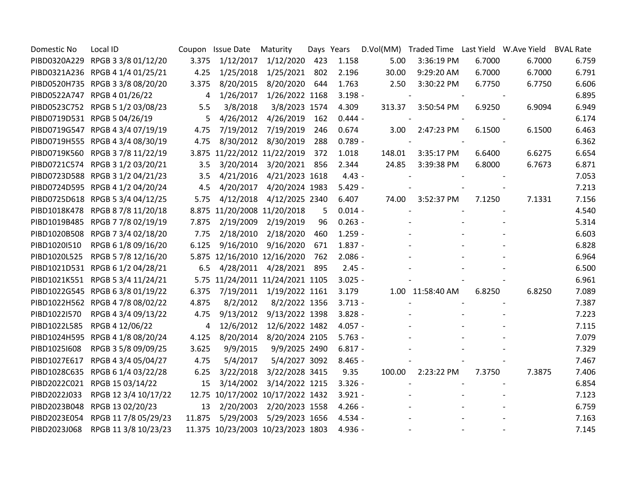| Domestic No  | Local ID                          |                | Coupon Issue Date                 | Maturity                 |     | Days Years |        | D.Vol(MM) Traded Time Last Yield W.Ave Yield |        |        | <b>BVAL Rate</b> |
|--------------|-----------------------------------|----------------|-----------------------------------|--------------------------|-----|------------|--------|----------------------------------------------|--------|--------|------------------|
|              | PIBD0320A229 RPGB 3 3/8 01/12/20  | 3.375          |                                   | 1/12/2017 1/12/2020      | 423 | 1.158      | 5.00   | 3:36:19 PM                                   | 6.7000 | 6.7000 | 6.759            |
|              | PIBD0321A236 RPGB 4 1/4 01/25/21  | 4.25           | 1/25/2018                         | 1/25/2021                | 802 | 2.196      | 30.00  | 9:29:20 AM                                   | 6.7000 | 6.7000 | 6.791            |
|              | PIBD0520H735 RPGB 3 3/8 08/20/20  | 3.375          | 8/20/2015                         | 8/20/2020                | 644 | 1.763      | 2.50   | 3:30:22 PM                                   | 6.7750 | 6.7750 | 6.606            |
|              | PIBD0522A747 RPGB 4 01/26/22      | $\overline{4}$ | 1/26/2017                         | 1/26/2022 1168           |     | $3.198 -$  |        |                                              |        |        | 6.895            |
|              | PIBD0523C752 RPGB 5 1/2 03/08/23  | 5.5            | 3/8/2018                          | 3/8/2023 1574            |     | 4.309      | 313.37 | 3:50:54 PM                                   | 6.9250 | 6.9094 | 6.949            |
|              | PIBD0719D531 RPGB 5 04/26/19      | 5              | 4/26/2012                         | 4/26/2019                | 162 | $0.444 -$  |        |                                              |        |        | 6.174            |
|              | PIBD0719G547 RPGB 4 3/4 07/19/19  | 4.75           | 7/19/2012                         | 7/19/2019                | 246 | 0.674      | 3.00   | 2:47:23 PM                                   | 6.1500 | 6.1500 | 6.463            |
|              | PIBD0719H555 RPGB 4 3/4 08/30/19  | 4.75           | 8/30/2012                         | 8/30/2019                | 288 | $0.789 -$  |        |                                              |        |        | 6.362            |
|              | PIBD0719K560 RPGB 3 7/8 11/22/19  |                | 3.875 11/22/2012 11/22/2019       |                          | 372 | 1.018      | 148.01 | 3:35:17 PM                                   | 6.6400 | 6.6275 | 6.654            |
|              | PIBD0721C574 RPGB 3 1/2 03/20/21  | 3.5            | 3/20/2014                         | 3/20/2021                | 856 | 2.344      | 24.85  | 3:39:38 PM                                   | 6.8000 | 6.7673 | 6.871            |
|              | PIBD0723D588 RPGB 3 1/2 04/21/23  | 3.5            | 4/21/2016                         | 4/21/2023 1618           |     | $4.43 -$   |        |                                              |        |        | 7.053            |
|              | PIBD0724D595 RPGB 4 1/2 04/20/24  | 4.5            | 4/20/2017                         | 4/20/2024 1983           |     | $5.429 -$  |        |                                              |        |        | 7.213            |
|              | PIBD0725D618 RPGB 5 3/4 04/12/25  | 5.75           | 4/12/2018                         | 4/12/2025 2340           |     | 6.407      | 74.00  | 3:52:37 PM                                   | 7.1250 | 7.1331 | 7.156            |
|              | PIBD1018K478 RPGB 8 7/8 11/20/18  |                | 8.875 11/20/2008 11/20/2018       |                          | 5   | $0.014 -$  |        |                                              |        |        | 4.540            |
|              | PIBD1019B485 RPGB 7 7/8 02/19/19  | 7.875          | 2/19/2009                         | 2/19/2019                | 96  | $0.263 -$  |        |                                              |        |        | 5.314            |
|              | PIBD1020B508 RPGB 7 3/4 02/18/20  | 7.75           |                                   | 2/18/2010 2/18/2020      | 460 | $1.259 -$  |        |                                              |        |        | 6.603            |
| PIBD1020I510 | RPGB 6 1/8 09/16/20               | 6.125          | 9/16/2010                         | 9/16/2020                | 671 | $1.837 -$  |        |                                              |        |        | 6.828            |
| PIBD1020L525 | RPGB 5 7/8 12/16/20               |                | 5.875 12/16/2010 12/16/2020       |                          | 762 | $2.086 -$  |        |                                              |        |        | 6.964            |
|              | PIBD1021D531 RPGB 6 1/2 04/28/21  | 6.5            | 4/28/2011                         | 4/28/2021                | 895 | $2.45 -$   |        |                                              |        |        | 6.500            |
|              | PIBD1021K551 RPGB 5 3/4 11/24/21  |                | 5.75 11/24/2011 11/24/2021 1105   |                          |     | $3.025 -$  |        |                                              |        |        | 6.961            |
|              | PIBD1022G545 RPGB 6 3/8 01/19/22  | 6.375          |                                   | 7/19/2011 1/19/2022 1161 |     | 3.179      |        | 1.00 11:58:40 AM                             | 6.8250 | 6.8250 | 7.089            |
|              | PIBD1022H562 RPGB 4 7/8 08/02/22  | 4.875          | 8/2/2012                          | 8/2/2022 1356            |     | $3.713 -$  |        |                                              |        |        | 7.387            |
| PIBD1022I570 | RPGB 4 3/4 09/13/22               | 4.75           | 9/13/2012                         | 9/13/2022 1398           |     | $3.828 -$  |        |                                              |        |        | 7.223            |
|              | PIBD1022L585 RPGB 4 12/06/22      | $\overline{4}$ | 12/6/2012                         | 12/6/2022 1482           |     | $4.057 -$  |        |                                              |        |        | 7.115            |
|              | PIBD1024H595 RPGB 4 1/8 08/20/24  | 4.125          |                                   | 8/20/2014 8/20/2024 2105 |     | $5.763 -$  |        |                                              |        |        | 7.079            |
| PIBD10251608 | RPGB 3 5/8 09/09/25               | 3.625          | 9/9/2015                          | 9/9/2025 2490            |     | $6.817 -$  |        |                                              |        |        | 7.329            |
| PIBD1027E617 | RPGB 4 3/4 05/04/27               | 4.75           | 5/4/2017                          | 5/4/2027 3092            |     | $8.465 -$  |        |                                              |        |        | 7.467            |
|              | PIBD1028C635 RPGB 6 1/4 03/22/28  | 6.25           | 3/22/2018                         | 3/22/2028 3415           |     | 9.35       | 100.00 | 2:23:22 PM                                   | 7.3750 | 7.3875 | 7.406            |
|              | PIBD2022C021 RPGB 15 03/14/22     | 15             | 3/14/2002                         | 3/14/2022 1215           |     | $3.326 -$  |        |                                              |        |        | 6.854            |
| PIBD2022J033 | RPGB 12 3/4 10/17/22              |                | 12.75 10/17/2002 10/17/2022 1432  |                          |     | $3.921 -$  |        |                                              |        |        | 7.123            |
|              | PIBD2023B048 RPGB 13 02/20/23     | 13             | 2/20/2003                         | 2/20/2023 1558           |     | $4.266 -$  |        |                                              |        |        | 6.759            |
|              | PIBD2023E054 RPGB 11 7/8 05/29/23 | 11.875         | 5/29/2003                         | 5/29/2023 1656           |     | 4.534 -    |        |                                              |        |        | 7.163            |
|              | PIBD2023J068 RPGB 11 3/8 10/23/23 |                | 11.375 10/23/2003 10/23/2023 1803 |                          |     | 4.936 -    |        |                                              |        |        | 7.145            |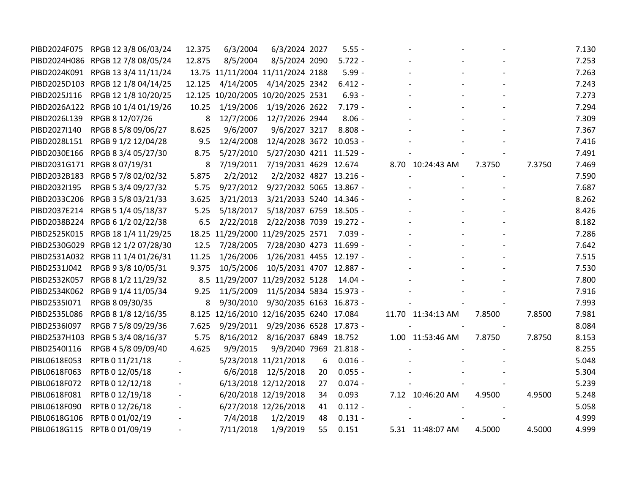| PIBD2024F075 | RPGB 12 3/8 06/03/24              | 12.375                   | 6/3/2004                                | 6/3/2024 2027                   |    | $5.55 -$  |                   |        |        | 7.130 |
|--------------|-----------------------------------|--------------------------|-----------------------------------------|---------------------------------|----|-----------|-------------------|--------|--------|-------|
|              | PIBD2024H086 RPGB 12 7/8 08/05/24 | 12.875                   | 8/5/2004                                | 8/5/2024 2090                   |    | $5.722 -$ |                   |        |        | 7.253 |
|              | PIBD2024K091 RPGB 13 3/4 11/11/24 |                          | 13.75 11/11/2004 11/11/2024 2188        |                                 |    | $5.99 -$  |                   |        |        | 7.263 |
|              | PIBD2025D103 RPGB 12 1/8 04/14/25 | 12.125                   | 4/14/2005                               | 4/14/2025 2342                  |    | $6.412 -$ |                   |        |        | 7.243 |
| PIBD2025J116 | RPGB 12 1/8 10/20/25              |                          | 12.125 10/20/2005 10/20/2025 2531       |                                 |    | $6.93 -$  |                   |        |        | 7.273 |
|              | PIBD2026A122 RPGB 10 1/4 01/19/26 | 10.25                    | 1/19/2006                               | 1/19/2026 2622                  |    | $7.179 -$ |                   |        |        | 7.294 |
| PIBD2026L139 | RPGB 8 12/07/26                   | 8                        | 12/7/2006                               | 12/7/2026 2944                  |    | $8.06 -$  |                   |        |        | 7.309 |
| PIBD2027I140 | RPGB 8 5/8 09/06/27               | 8.625                    | 9/6/2007                                | 9/6/2027 3217                   |    | $8.808 -$ |                   |        |        | 7.367 |
| PIBD2028L151 | RPGB 9 1/2 12/04/28               | 9.5                      | 12/4/2008                               | 12/4/2028 3672 10.053 -         |    |           |                   |        |        | 7.416 |
|              | PIBD2030E166 RPGB 8 3/4 05/27/30  | 8.75                     | 5/27/2010                               | 5/27/2030 4211 11.529 -         |    |           |                   |        |        | 7.491 |
|              | PIBD2031G171 RPGB 8 07/19/31      | 8                        |                                         | 7/19/2011 7/19/2031 4629 12.674 |    |           | 8.70 10:24:43 AM  | 7.3750 | 7.3750 | 7.469 |
|              | PIBD2032B183 RPGB 5 7/8 02/02/32  | 5.875                    | 2/2/2012                                | 2/2/2032 4827 13.216 -          |    |           |                   |        |        | 7.590 |
| PIBD2032I195 | RPGB 5 3/4 09/27/32               | 5.75                     | 9/27/2012                               | 9/27/2032 5065 13.867 -         |    |           |                   |        |        | 7.687 |
|              | PIBD2033C206 RPGB 3 5/8 03/21/33  | 3.625                    | 3/21/2013                               | 3/21/2033 5240 14.346 -         |    |           |                   |        |        | 8.262 |
| PIBD2037E214 | RPGB 5 1/4 05/18/37               | 5.25                     | 5/18/2017                               | 5/18/2037 6759 18.505 -         |    |           |                   |        |        | 8.426 |
|              | PIBD2038B224 RPGB 6 1/2 02/22/38  | 6.5                      | 2/22/2018                               | 2/22/2038 7039 19.272 -         |    |           |                   |        |        | 8.182 |
|              | PIBD2525K015 RPGB 18 1/4 11/29/25 |                          | 18.25 11/29/2000 11/29/2025 2571        |                                 |    | 7.039 -   |                   |        |        | 7.286 |
|              | PIBD2530G029 RPGB 12 1/2 07/28/30 | 12.5                     | 7/28/2005                               | 7/28/2030 4273 11.699 -         |    |           |                   |        |        | 7.642 |
|              | PIBD2531A032 RPGB 11 1/4 01/26/31 | 11.25                    | 1/26/2006                               | 1/26/2031 4455 12.197 -         |    |           |                   |        |        | 7.515 |
| PIBD2531J042 | RPGB 9 3/8 10/05/31               | 9.375                    | 10/5/2006                               | 10/5/2031 4707 12.887 -         |    |           |                   |        |        | 7.530 |
| PIBD2532K057 | RPGB 8 1/2 11/29/32               |                          | 8.5 11/29/2007 11/29/2032 5128          |                                 |    | $14.04 -$ |                   |        |        | 7.800 |
|              | PIBD2534K062 RPGB 9 1/4 11/05/34  | 9.25                     | 11/5/2009                               | 11/5/2034 5834 15.973 -         |    |           |                   |        |        | 7.916 |
| PIBD2535I071 | RPGB 8 09/30/35                   | 8                        | 9/30/2010                               | 9/30/2035 6163 16.873 -         |    |           |                   |        |        | 7.993 |
| PIBD2535L086 | RPGB 8 1/8 12/16/35               |                          | 8.125 12/16/2010 12/16/2035 6240 17.084 |                                 |    |           | 11.70 11:34:13 AM | 7.8500 | 7.8500 | 7.981 |
| PIBD2536I097 | RPGB 7 5/8 09/29/36               | 7.625                    | 9/29/2011                               | 9/29/2036 6528 17.873 -         |    |           |                   |        |        | 8.084 |
|              | PIBD2537H103 RPGB 5 3/4 08/16/37  | 5.75                     |                                         | 8/16/2012 8/16/2037 6849 18.752 |    |           | 1.00 11:53:46 AM  | 7.8750 | 7.8750 | 8.153 |
| PIBD2540I116 | RPGB 4 5/8 09/09/40               | 4.625                    | 9/9/2015                                | 9/9/2040 7969 21.818 -          |    |           |                   |        |        | 8.255 |
| PIBL0618E053 | RPTB 0 11/21/18                   |                          |                                         | 5/23/2018 11/21/2018            | 6  | $0.016 -$ |                   |        |        | 5.048 |
| PIBL0618F063 | RPTB 0 12/05/18                   |                          | 6/6/2018                                | 12/5/2018                       | 20 | $0.055 -$ |                   |        |        | 5.304 |
| PIBL0618F072 | RPTB 0 12/12/18                   |                          |                                         | 6/13/2018 12/12/2018            | 27 | $0.074 -$ |                   |        |        | 5.239 |
| PIBL0618F081 | RPTB 0 12/19/18                   | $\overline{\phantom{a}}$ |                                         | 6/20/2018 12/19/2018            | 34 | 0.093     | 7.12 10:46:20 AM  | 4.9500 | 4.9500 | 5.248 |
| PIBL0618F090 | RPTB 0 12/26/18                   |                          |                                         | 6/27/2018 12/26/2018            | 41 | $0.112 -$ |                   |        |        | 5.058 |
| PIBL0618G106 | RPTB 0 01/02/19                   |                          | 7/4/2018                                | 1/2/2019                        | 48 | $0.131 -$ |                   |        |        | 4.999 |
|              | PIBL0618G115 RPTB 0 01/09/19      |                          | 7/11/2018                               | 1/9/2019                        | 55 | 0.151     | 5.31 11:48:07 AM  | 4.5000 | 4.5000 | 4.999 |
|              |                                   |                          |                                         |                                 |    |           |                   |        |        |       |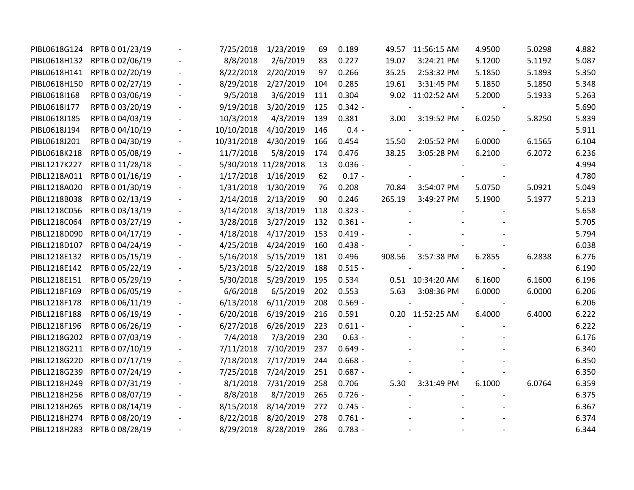| PIBL0618G124 | RPTB 0 01/23/19              | 7/25/2018  | 1/23/2019            | 69  | 0.189     | 49.57  | 11:56:15 AM      | 4.9500 | 5.0298 | 4.882 |
|--------------|------------------------------|------------|----------------------|-----|-----------|--------|------------------|--------|--------|-------|
| PIBL0618H132 | RPTB 0 02/06/19              | 8/8/2018   | 2/6/2019             | 83  | 0.227     | 19.07  | 3:24:21 PM       | 5.1200 | 5.1192 | 5.087 |
| PIBL0618H141 | RPTB 0 02/20/19              | 8/22/2018  | 2/20/2019            | 97  | 0.266     | 35.25  | 2:53:32 PM       | 5.1850 | 5.1893 | 5.350 |
| PIBL0618H150 | RPTB 0 02/27/19              | 8/29/2018  | 2/27/2019            | 104 | 0.285     | 19.61  | 3:31:45 PM       | 5.1850 | 5.1850 | 5.348 |
| PIBL0618I168 | RPTB 0 03/06/19              | 9/5/2018   | 3/6/2019             | 111 | 0.304     |        | 9.02 11:02:52 AM | 5.2000 | 5.1933 | 5.263 |
| PIBL0618I177 | RPTB 0 03/20/19              | 9/19/2018  | 3/20/2019            | 125 | $0.342 -$ |        |                  |        |        | 5.690 |
| PIBL0618J185 | RPTB 0 04/03/19              | 10/3/2018  | 4/3/2019             | 139 | 0.381     | 3.00   | 3:19:52 PM       | 6.0250 | 5.8250 | 5.839 |
| PIBL0618J194 | RPTB 0 04/10/19              | 10/10/2018 | 4/10/2019            | 146 | $0.4 -$   |        |                  |        |        | 5.911 |
| PIBL0618J201 | RPTB 0 04/30/19              | 10/31/2018 | 4/30/2019            | 166 | 0.454     | 15.50  | 2:05:52 PM       | 6.0000 | 6.1565 | 6.104 |
| PIBL0618K218 | RPTB 0 05/08/19              | 11/7/2018  | 5/8/2019             | 174 | 0.476     | 38.25  | 3:05:28 PM       | 6.2100 | 6.2072 | 6.236 |
| PIBL1217K227 | RPTB 0 11/28/18              |            | 5/30/2018 11/28/2018 | 13  | $0.036 -$ |        |                  |        |        | 4.994 |
| PIBL1218A011 | RPTB 0 01/16/19              | 1/17/2018  | 1/16/2019            | 62  | $0.17 -$  |        |                  |        |        | 4.780 |
| PIBL1218A020 | RPTB 0 01/30/19              | 1/31/2018  | 1/30/2019            | 76  | 0.208     | 70.84  | 3:54:07 PM       | 5.0750 | 5.0921 | 5.049 |
| PIBL1218B038 | RPTB 0 02/13/19              | 2/14/2018  | 2/13/2019            | 90  | 0.246     | 265.19 | 3:49:27 PM       | 5.1900 | 5.1977 | 5.213 |
| PIBL1218C056 | RPTB 0 03/13/19              | 3/14/2018  | 3/13/2019            | 118 | $0.323 -$ |        |                  |        |        | 5.658 |
| PIBL1218C064 | RPTB 0 03/27/19              | 3/28/2018  | 3/27/2019            | 132 | $0.361 -$ |        |                  |        |        | 5.705 |
| PIBL1218D090 | RPTB 0 04/17/19              | 4/18/2018  | 4/17/2019            | 153 | $0.419 -$ |        |                  |        |        | 5.794 |
| PIBL1218D107 | RPTB 0 04/24/19              | 4/25/2018  | 4/24/2019            | 160 | $0.438 -$ |        |                  |        |        | 6.038 |
| PIBL1218E132 | RPTB 0 05/15/19              | 5/16/2018  | 5/15/2019            | 181 | 0.496     | 908.56 | 3:57:38 PM       | 6.2855 | 6.2838 | 6.276 |
| PIBL1218E142 | RPTB 0 05/22/19              | 5/23/2018  | 5/22/2019            | 188 | $0.515 -$ |        |                  |        |        | 6.190 |
| PIBL1218E151 | RPTB 0 05/29/19              | 5/30/2018  | 5/29/2019            | 195 | 0.534     |        | 0.51 10:34:20 AM | 6.1600 | 6.1600 | 6.196 |
| PIBL1218F169 | RPTB 0 06/05/19              | 6/6/2018   | 6/5/2019             | 202 | 0.553     | 5.63   | 3:08:36 PM       | 6.0000 | 6.0000 | 6.206 |
| PIBL1218F178 | RPTB 0 06/11/19              | 6/13/2018  | 6/11/2019            | 208 | $0.569 -$ |        |                  |        |        | 6.206 |
| PIBL1218F188 | RPTB 0 06/19/19              | 6/20/2018  | 6/19/2019            | 216 | 0.591     |        | 0.20 11:52:25 AM | 6.4000 | 6.4000 | 6.222 |
| PIBL1218F196 | RPTB 0 06/26/19              | 6/27/2018  | 6/26/2019            | 223 | $0.611 -$ |        |                  |        |        | 6.222 |
| PIBL1218G202 | RPTB 0 07/03/19              | 7/4/2018   | 7/3/2019             | 230 | $0.63 -$  |        |                  |        |        | 6.176 |
| PIBL1218G211 | RPTB 0 07/10/19              | 7/11/2018  | 7/10/2019            | 237 | $0.649 -$ |        |                  |        |        | 6.340 |
| PIBL1218G220 | RPTB 0 07/17/19              | 7/18/2018  | 7/17/2019            | 244 | $0.668 -$ |        |                  |        |        | 6.350 |
| PIBL1218G239 | RPTB 0 07/24/19              | 7/25/2018  | 7/24/2019            | 251 | $0.687 -$ |        |                  |        |        | 6.350 |
| PIBL1218H249 | RPTB 0 07/31/19              | 8/1/2018   | 7/31/2019            | 258 | 0.706     | 5.30   | 3:31:49 PM       | 6.1000 | 6.0764 | 6.359 |
| PIBL1218H256 | RPTB 0 08/07/19              | 8/8/2018   | 8/7/2019             | 265 | $0.726 -$ |        |                  |        |        | 6.375 |
| PIBL1218H265 | RPTB 0 08/14/19              | 8/15/2018  | 8/14/2019            | 272 | $0.745 -$ |        |                  |        |        | 6.367 |
| PIBL1218H274 | RPTB 0 08/20/19              | 8/22/2018  | 8/20/2019            | 278 | $0.761 -$ |        |                  |        |        | 6.374 |
|              | PIBL1218H283 RPTB 0 08/28/19 | 8/29/2018  | 8/28/2019            | 286 | $0.783 -$ |        |                  |        |        | 6.344 |